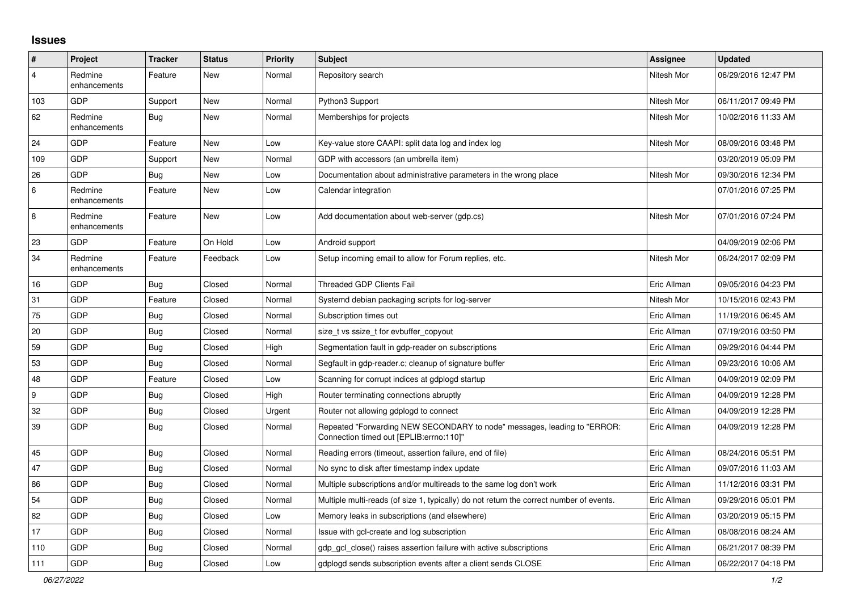## **Issues**

| #              | Project                 | <b>Tracker</b> | <b>Status</b> | <b>Priority</b> | <b>Subject</b>                                                                                                      | <b>Assignee</b> | <b>Updated</b>      |
|----------------|-------------------------|----------------|---------------|-----------------|---------------------------------------------------------------------------------------------------------------------|-----------------|---------------------|
| $\overline{4}$ | Redmine<br>enhancements | Feature        | New           | Normal          | Repository search                                                                                                   | Nitesh Mor      | 06/29/2016 12:47 PM |
| 103            | GDP                     | Support        | New           | Normal          | Python3 Support                                                                                                     | Nitesh Mor      | 06/11/2017 09:49 PM |
| 62             | Redmine<br>enhancements | <b>Bug</b>     | New           | Normal          | Memberships for projects                                                                                            | Nitesh Mor      | 10/02/2016 11:33 AM |
| 24             | GDP                     | Feature        | New           | Low             | Key-value store CAAPI: split data log and index log                                                                 | Nitesh Mor      | 08/09/2016 03:48 PM |
| 109            | GDP                     | Support        | New           | Normal          | GDP with accessors (an umbrella item)                                                                               |                 | 03/20/2019 05:09 PM |
| 26             | GDP                     | Bug            | New           | Low             | Documentation about administrative parameters in the wrong place                                                    | Nitesh Mor      | 09/30/2016 12:34 PM |
| 6              | Redmine<br>enhancements | Feature        | New           | Low             | Calendar integration                                                                                                |                 | 07/01/2016 07:25 PM |
| $\overline{8}$ | Redmine<br>enhancements | Feature        | <b>New</b>    | Low             | Add documentation about web-server (gdp.cs)                                                                         | Nitesh Mor      | 07/01/2016 07:24 PM |
| 23             | GDP                     | Feature        | On Hold       | Low             | Android support                                                                                                     |                 | 04/09/2019 02:06 PM |
| 34             | Redmine<br>enhancements | Feature        | Feedback      | Low             | Setup incoming email to allow for Forum replies, etc.                                                               | Nitesh Mor      | 06/24/2017 02:09 PM |
| 16             | GDP                     | Bug            | Closed        | Normal          | <b>Threaded GDP Clients Fail</b>                                                                                    | Eric Allman     | 09/05/2016 04:23 PM |
| 31             | GDP                     | Feature        | Closed        | Normal          | Systemd debian packaging scripts for log-server                                                                     | Nitesh Mor      | 10/15/2016 02:43 PM |
| 75             | GDP                     | <b>Bug</b>     | Closed        | Normal          | Subscription times out                                                                                              | Eric Allman     | 11/19/2016 06:45 AM |
| 20             | GDP                     | <b>Bug</b>     | Closed        | Normal          | size_t vs ssize_t for evbuffer_copyout                                                                              | Eric Allman     | 07/19/2016 03:50 PM |
| 59             | GDP                     | <b>Bug</b>     | Closed        | High            | Segmentation fault in gdp-reader on subscriptions                                                                   | Eric Allman     | 09/29/2016 04:44 PM |
| 53             | GDP                     | Bug            | Closed        | Normal          | Segfault in gdp-reader.c; cleanup of signature buffer                                                               | Eric Allman     | 09/23/2016 10:06 AM |
| 48             | GDP                     | Feature        | Closed        | Low             | Scanning for corrupt indices at gdplogd startup                                                                     | Eric Allman     | 04/09/2019 02:09 PM |
| 9              | GDP                     | Bug            | Closed        | High            | Router terminating connections abruptly                                                                             | Eric Allman     | 04/09/2019 12:28 PM |
| 32             | GDP                     | <b>Bug</b>     | Closed        | Urgent          | Router not allowing gdplogd to connect                                                                              | Eric Allman     | 04/09/2019 12:28 PM |
| 39             | <b>GDP</b>              | Bug            | Closed        | Normal          | Repeated "Forwarding NEW SECONDARY to node" messages, leading to "ERROR:<br>Connection timed out [EPLIB:errno:110]" | Eric Allman     | 04/09/2019 12:28 PM |
| 45             | GDP                     | <b>Bug</b>     | Closed        | Normal          | Reading errors (timeout, assertion failure, end of file)                                                            | Eric Allman     | 08/24/2016 05:51 PM |
| 47             | GDP                     | <b>Bug</b>     | Closed        | Normal          | No sync to disk after timestamp index update                                                                        | Eric Allman     | 09/07/2016 11:03 AM |
| 86             | GDP                     | Bug            | Closed        | Normal          | Multiple subscriptions and/or multireads to the same log don't work                                                 | Eric Allman     | 11/12/2016 03:31 PM |
| 54             | GDP                     | Bug            | Closed        | Normal          | Multiple multi-reads (of size 1, typically) do not return the correct number of events.                             | Eric Allman     | 09/29/2016 05:01 PM |
| 82             | GDP                     | <b>Bug</b>     | Closed        | Low             | Memory leaks in subscriptions (and elsewhere)                                                                       | Eric Allman     | 03/20/2019 05:15 PM |
| 17             | GDP                     | Bug            | Closed        | Normal          | Issue with gcl-create and log subscription                                                                          | Eric Allman     | 08/08/2016 08:24 AM |
| 110            | GDP                     | Bug            | Closed        | Normal          | gdp gcl close() raises assertion failure with active subscriptions                                                  | Eric Allman     | 06/21/2017 08:39 PM |
| 111            | GDP                     | <b>Bug</b>     | Closed        | Low             | adpload sends subscription events after a client sends CLOSE                                                        | Eric Allman     | 06/22/2017 04:18 PM |